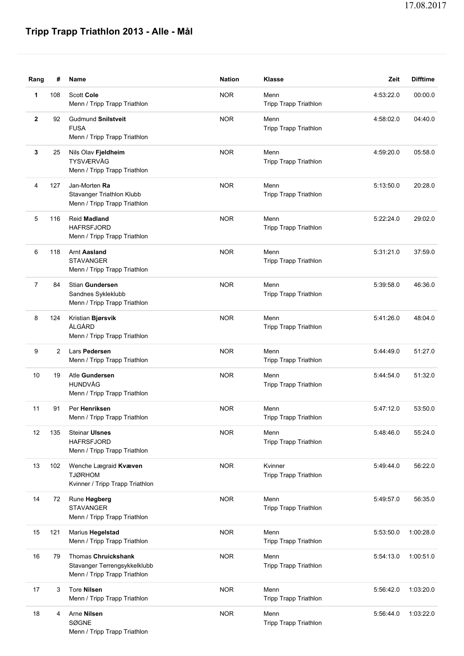## **Tripp Trapp Triathlon 2013 - Alle - Mål**

| Rang           | #   | <b>Name</b>                                                                         | <b>Nation</b> | Klasse                               | Zeit      | <b>Difftime</b> |
|----------------|-----|-------------------------------------------------------------------------------------|---------------|--------------------------------------|-----------|-----------------|
| 1              | 108 | <b>Scott Cole</b><br>Menn / Tripp Trapp Triathlon                                   | <b>NOR</b>    | Menn<br>Tripp Trapp Triathlon        | 4:53:22.0 | 00:00.0         |
| $\mathbf{2}$   | 92  | Gudmund Snilstveit<br><b>FUSA</b><br>Menn / Tripp Trapp Triathlon                   | <b>NOR</b>    | Menn<br><b>Tripp Trapp Triathlon</b> | 4:58:02.0 | 04:40.0         |
| 3              | 25  | Nils Olav Fjeldheim<br><b>TYSVÆRVÅG</b><br>Menn / Tripp Trapp Triathlon             | <b>NOR</b>    | Menn<br>Tripp Trapp Triathlon        | 4:59:20.0 | 05:58.0         |
| 4              | 127 | Jan-Morten Ra<br>Stavanger Triathlon Klubb<br>Menn / Tripp Trapp Triathlon          | <b>NOR</b>    | Menn<br>Tripp Trapp Triathlon        | 5:13:50.0 | 20:28.0         |
| 5              | 116 | Reid Madland<br><b>HAFRSFJORD</b><br>Menn / Tripp Trapp Triathlon                   | <b>NOR</b>    | Menn<br>Tripp Trapp Triathlon        | 5:22:24.0 | 29:02.0         |
| 6              | 118 | <b>Arnt Aasland</b><br><b>STAVANGER</b><br>Menn / Tripp Trapp Triathlon             | <b>NOR</b>    | Menn<br><b>Tripp Trapp Triathlon</b> | 5:31:21.0 | 37:59.0         |
| $\overline{7}$ | 84  | Stian Gundersen<br>Sandnes Sykleklubb<br>Menn / Tripp Trapp Triathlon               | <b>NOR</b>    | Menn<br><b>Tripp Trapp Triathlon</b> | 5:39:58.0 | 46:36.0         |
| 8              | 124 | Kristian Bjørsvik<br>ÅLGÅRD<br>Menn / Tripp Trapp Triathlon                         | <b>NOR</b>    | Menn<br>Tripp Trapp Triathlon        | 5:41:26.0 | 48:04.0         |
| 9              | 2   | Lars Pedersen<br>Menn / Tripp Trapp Triathlon                                       | <b>NOR</b>    | Menn<br>Tripp Trapp Triathlon        | 5:44:49.0 | 51:27.0         |
| 10             | 19  | Atle Gundersen<br><b>HUNDVÅG</b><br>Menn / Tripp Trapp Triathlon                    | <b>NOR</b>    | Menn<br>Tripp Trapp Triathlon        | 5:44:54.0 | 51:32.0         |
| 11             | 91  | Per Henriksen<br>Menn / Tripp Trapp Triathlon                                       | <b>NOR</b>    | Menn<br>Tripp Trapp Triathlon        | 5:47:12.0 | 53:50.0         |
| 12             | 135 | <b>Steinar Ulsnes</b><br><b>HAFRSFJORD</b><br>Menn / Tripp Trapp Triathlon          | <b>NOR</b>    | Menn<br>Tripp Trapp Triathlon        | 5:48:46.0 | 55:24.0         |
| 13             | 102 | Wenche Lægraid Kvæven<br><b>TJØRHOM</b><br>Kvinner / Tripp Trapp Triathlon          | <b>NOR</b>    | Kvinner<br>Tripp Trapp Triathlon     | 5:49:44.0 | 56:22.0         |
| 14             | 72  | Rune Høgberg<br><b>STAVANGER</b><br>Menn / Tripp Trapp Triathlon                    | <b>NOR</b>    | Menn<br>Tripp Trapp Triathlon        | 5:49:57.0 | 56:35.0         |
| 15             | 121 | Marius Hegelstad<br>Menn / Tripp Trapp Triathlon                                    | <b>NOR</b>    | Menn<br>Tripp Trapp Triathlon        | 5:53:50.0 | 1:00:28.0       |
| 16             | 79  | Thomas Chruickshank<br>Stavanger Terrengsykkelklubb<br>Menn / Tripp Trapp Triathlon | <b>NOR</b>    | Menn<br>Tripp Trapp Triathlon        | 5:54:13.0 | 1:00:51.0       |
| 17             | 3   | <b>Tore Nilsen</b><br>Menn / Tripp Trapp Triathlon                                  | <b>NOR</b>    | Menn<br>Tripp Trapp Triathlon        | 5:56:42.0 | 1:03:20.0       |
| 18             | 4   | Arne Nilsen<br><b>SØGNE</b><br>Menn / Tripp Trapp Triathlon                         | <b>NOR</b>    | Menn<br>Tripp Trapp Triathlon        | 5:56:44.0 | 1:03:22.0       |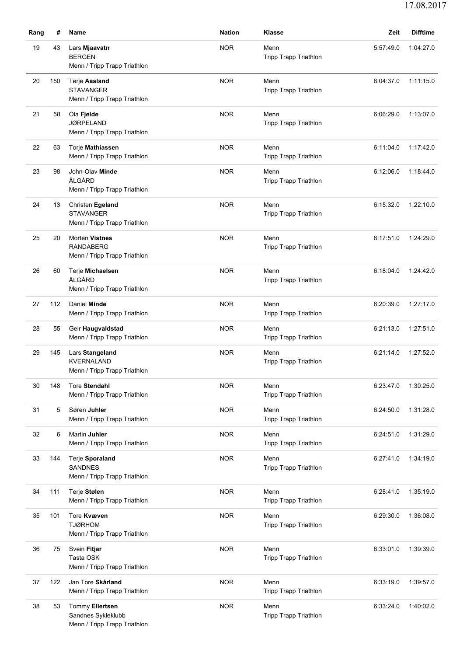| Rang | #   | Name                                                                      | <b>Nation</b> | Klasse                               | Zeit      | <b>Difftime</b> |
|------|-----|---------------------------------------------------------------------------|---------------|--------------------------------------|-----------|-----------------|
| 19   | 43  | Lars Mjaavatn<br><b>BERGEN</b><br>Menn / Tripp Trapp Triathlon            | <b>NOR</b>    | Menn<br><b>Tripp Trapp Triathlon</b> | 5:57:49.0 | 1:04:27.0       |
| 20   | 150 | Terje Aasland<br><b>STAVANGER</b><br>Menn / Tripp Trapp Triathlon         | <b>NOR</b>    | Menn<br><b>Tripp Trapp Triathlon</b> | 6:04:37.0 | 1:11:15.0       |
| 21   | 58  | Ola Fjelde<br><b>JØRPELAND</b><br>Menn / Tripp Trapp Triathlon            | <b>NOR</b>    | Menn<br>Tripp Trapp Triathlon        | 6:06:29.0 | 1:13:07.0       |
| 22   | 63  | Torje Mathiassen<br>Menn / Tripp Trapp Triathlon                          | <b>NOR</b>    | Menn<br>Tripp Trapp Triathlon        | 6:11:04.0 | 1:17:42.0       |
| 23   | 98  | John-Olav Minde<br>ÅLGÅRD<br>Menn / Tripp Trapp Triathlon                 | <b>NOR</b>    | Menn<br>Tripp Trapp Triathlon        | 6:12:06.0 | 1:18:44.0       |
| 24   | 13  | Christen Egeland<br><b>STAVANGER</b><br>Menn / Tripp Trapp Triathlon      | <b>NOR</b>    | Menn<br><b>Tripp Trapp Triathlon</b> | 6:15:32.0 | 1:22:10.0       |
| 25   | 20  | <b>Morten Vistnes</b><br><b>RANDABERG</b><br>Menn / Tripp Trapp Triathlon | <b>NOR</b>    | Menn<br><b>Tripp Trapp Triathlon</b> | 6:17:51.0 | 1:24:29.0       |
| 26   | 60  | Terje Michaelsen<br>ÅLGÅRD<br>Menn / Tripp Trapp Triathlon                | <b>NOR</b>    | Menn<br>Tripp Trapp Triathlon        | 6:18:04.0 | 1:24:42.0       |
| 27   | 112 | Daniel Minde<br>Menn / Tripp Trapp Triathlon                              | <b>NOR</b>    | Menn<br>Tripp Trapp Triathlon        | 6:20:39.0 | 1:27:17.0       |
| 28   | 55  | Geir Haugvaldstad<br>Menn / Tripp Trapp Triathlon                         | <b>NOR</b>    | Menn<br><b>Tripp Trapp Triathlon</b> | 6:21:13.0 | 1:27:51.0       |
| 29   | 145 | Lars Stangeland<br><b>KVERNALAND</b><br>Menn / Tripp Trapp Triathlon      | <b>NOR</b>    | Menn<br>Tripp Trapp Triathlon        | 6:21:14.0 | 1:27:52.0       |
| 30   | 148 | Tore Stendahl<br>Menn / Tripp Trapp Triathlon                             | <b>NOR</b>    | Menn<br><b>Tripp Trapp Triathlon</b> | 6:23:47.0 | 1:30:25.0       |
| 31   | 5   | Søren Juhler<br>Menn / Tripp Trapp Triathlon                              | <b>NOR</b>    | Menn<br>Tripp Trapp Triathlon        | 6:24:50.0 | 1:31:28.0       |
| 32   | 6   | Martin Juhler<br>Menn / Tripp Trapp Triathlon                             | <b>NOR</b>    | Menn<br>Tripp Trapp Triathlon        | 6:24:51.0 | 1:31:29.0       |
| 33   | 144 | Terje Sporaland<br><b>SANDNES</b><br>Menn / Tripp Trapp Triathlon         | <b>NOR</b>    | Menn<br>Tripp Trapp Triathlon        | 6:27:41.0 | 1:34:19.0       |
| 34   | 111 | Terje Stølen<br>Menn / Tripp Trapp Triathlon                              | <b>NOR</b>    | Menn<br>Tripp Trapp Triathlon        | 6:28:41.0 | 1:35:19.0       |
| 35   | 101 | Tore Kvæven<br><b>TJØRHOM</b><br>Menn / Tripp Trapp Triathlon             | <b>NOR</b>    | Menn<br>Tripp Trapp Triathlon        | 6:29:30.0 | 1:36:08.0       |
| 36   | 75  | Svein Fitjar<br>Tasta OSK<br>Menn / Tripp Trapp Triathlon                 | <b>NOR</b>    | Menn<br>Tripp Trapp Triathlon        | 6:33:01.0 | 1:39:39.0       |
| 37   | 122 | Jan Tore Skårland<br>Menn / Tripp Trapp Triathlon                         | <b>NOR</b>    | Menn<br>Tripp Trapp Triathlon        | 6:33:19.0 | 1:39:57.0       |
| 38   | 53  | Tommy Ellertsen<br>Sandnes Sykleklubb<br>Menn / Tripp Trapp Triathlon     | <b>NOR</b>    | Menn<br>Tripp Trapp Triathlon        | 6:33:24.0 | 1:40:02.0       |